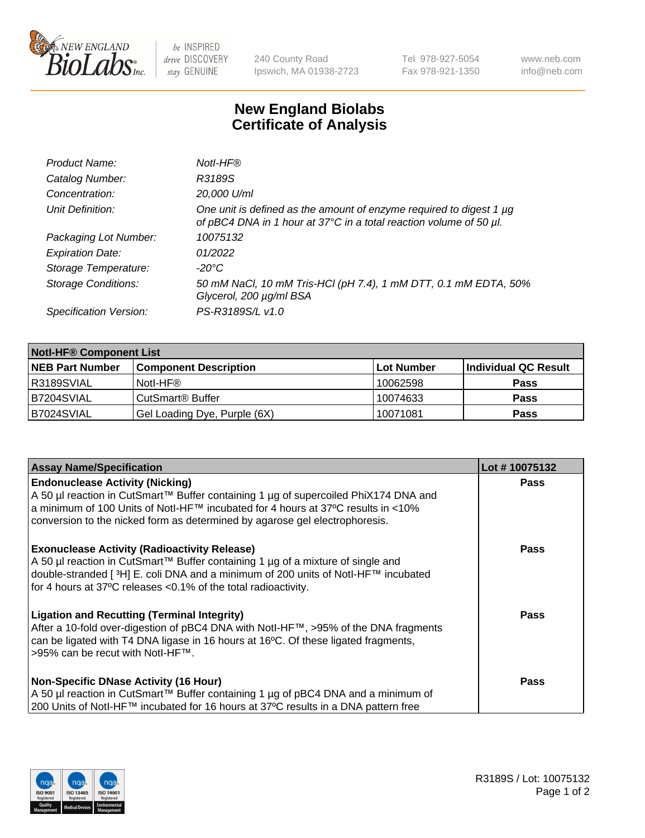

 $be$  INSPIRED drive DISCOVERY stay GENUINE

240 County Road Ipswich, MA 01938-2723 Tel 978-927-5054 Fax 978-921-1350 www.neb.com info@neb.com

## **New England Biolabs Certificate of Analysis**

| Product Name:              | Notl-HF®                                                                                                                                  |
|----------------------------|-------------------------------------------------------------------------------------------------------------------------------------------|
| Catalog Number:            | R3189S                                                                                                                                    |
| Concentration:             | 20,000 U/ml                                                                                                                               |
| Unit Definition:           | One unit is defined as the amount of enzyme required to digest 1 µg<br>of pBC4 DNA in 1 hour at 37°C in a total reaction volume of 50 µl. |
| Packaging Lot Number:      | 10075132                                                                                                                                  |
| <b>Expiration Date:</b>    | 01/2022                                                                                                                                   |
| Storage Temperature:       | $-20^{\circ}$ C                                                                                                                           |
| <b>Storage Conditions:</b> | 50 mM NaCl, 10 mM Tris-HCl (pH 7.4), 1 mM DTT, 0.1 mM EDTA, 50%<br>Glycerol, 200 µg/ml BSA                                                |
| Specification Version:     | PS-R3189S/L v1.0                                                                                                                          |

| <b>Notl-HF® Component List</b> |                              |            |                      |  |
|--------------------------------|------------------------------|------------|----------------------|--|
| <b>NEB Part Number</b>         | <b>Component Description</b> | Lot Number | Individual QC Result |  |
| R3189SVIAL                     | Notl-HF®                     | 10062598   | <b>Pass</b>          |  |
| B7204SVIAL                     | CutSmart <sup>®</sup> Buffer | 10074633   | <b>Pass</b>          |  |
| B7024SVIAL                     | Gel Loading Dye, Purple (6X) | 10071081   | <b>Pass</b>          |  |

| <b>Assay Name/Specification</b>                                                                                                                                                                                                                                                                              | Lot #10075132 |
|--------------------------------------------------------------------------------------------------------------------------------------------------------------------------------------------------------------------------------------------------------------------------------------------------------------|---------------|
| <b>Endonuclease Activity (Nicking)</b><br>  A 50 µl reaction in CutSmart™ Buffer containing 1 µg of supercoiled PhiX174 DNA and                                                                                                                                                                              | <b>Pass</b>   |
| a minimum of 100 Units of Notl-HF™ incubated for 4 hours at 37°C results in <10%<br>conversion to the nicked form as determined by agarose gel electrophoresis.                                                                                                                                              |               |
| <b>Exonuclease Activity (Radioactivity Release)</b><br>  A 50 µl reaction in CutSmart™ Buffer containing 1 µg of a mixture of single and<br>double-stranded [ <sup>3</sup> H] E. coli DNA and a minimum of 200 units of Notl-HF™ incubated<br>for 4 hours at 37°C releases <0.1% of the total radioactivity. | Pass          |
| <b>Ligation and Recutting (Terminal Integrity)</b><br>After a 10-fold over-digestion of pBC4 DNA with Notl-HF™, >95% of the DNA fragments<br>can be ligated with T4 DNA ligase in 16 hours at 16 <sup>o</sup> C. Of these ligated fragments,<br>1>95% can be recut with NotI-HF™.                            | Pass          |
| <b>Non-Specific DNase Activity (16 Hour)</b>                                                                                                                                                                                                                                                                 | <b>Pass</b>   |
| A 50 µl reaction in CutSmart™ Buffer containing 1 µg of pBC4 DNA and a minimum of<br>200 Units of Notl-HF™ incubated for 16 hours at 37°C results in a DNA pattern free                                                                                                                                      |               |